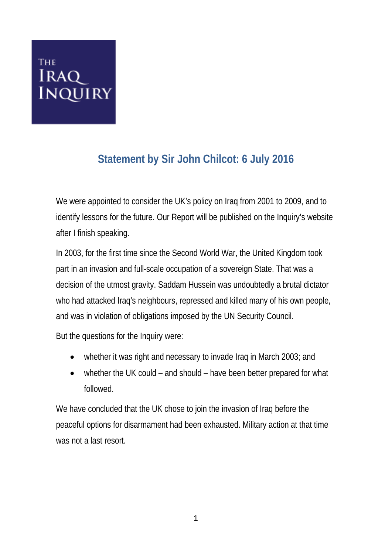## THE **IRAQ** Inquiry

## **Statement by Sir John Chilcot: 6 July 2016**

We were appointed to consider the UK's policy on Iraq from 2001 to 2009, and to identify lessons for the future. Our Report will be published on the Inquiry's website after I finish speaking.

In 2003, for the first time since the Second World War, the United Kingdom took part in an invasion and full-scale occupation of a sovereign State. That was a decision of the utmost gravity. Saddam Hussein was undoubtedly a brutal dictator who had attacked Iraq's neighbours, repressed and killed many of his own people, and was in violation of obligations imposed by the UN Security Council.

But the questions for the Inquiry were:

- whether it was right and necessary to invade Iraq in March 2003; and
- whether the UK could and should have been better prepared for what followed.

We have concluded that the UK chose to join the invasion of Iraq before the peaceful options for disarmament had been exhausted. Military action at that time was not a last resort.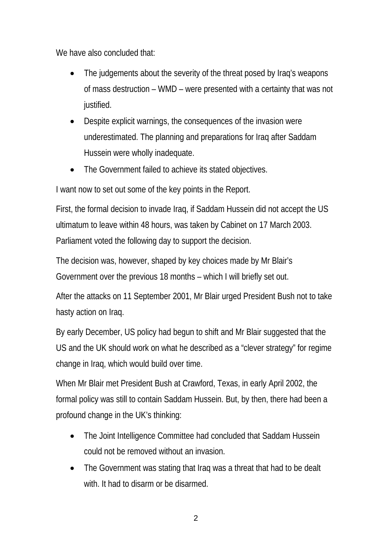We have also concluded that:

- The judgements about the severity of the threat posed by Iraq's weapons of mass destruction – WMD – were presented with a certainty that was not justified.
- Despite explicit warnings, the consequences of the invasion were underestimated. The planning and preparations for Iraq after Saddam Hussein were wholly inadequate.
- The Government failed to achieve its stated objectives.

I want now to set out some of the key points in the Report.

First, the formal decision to invade Iraq, if Saddam Hussein did not accept the US ultimatum to leave within 48 hours, was taken by Cabinet on 17 March 2003. Parliament voted the following day to support the decision.

The decision was, however, shaped by key choices made by Mr Blair's Government over the previous 18 months – which I will briefly set out.

After the attacks on 11 September 2001, Mr Blair urged President Bush not to take hasty action on Iraq.

By early December, US policy had begun to shift and Mr Blair suggested that the US and the UK should work on what he described as a "clever strategy" for regime change in Iraq, which would build over time.

When Mr Blair met President Bush at Crawford, Texas, in early April 2002, the formal policy was still to contain Saddam Hussein. But, by then, there had been a profound change in the UK's thinking:

- The Joint Intelligence Committee had concluded that Saddam Hussein could not be removed without an invasion.
- The Government was stating that Iraq was a threat that had to be dealt with. It had to disarm or be disarmed.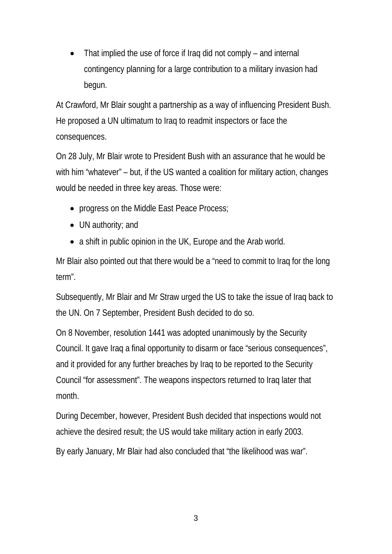• That implied the use of force if Iraq did not comply – and internal contingency planning for a large contribution to a military invasion had begun.

At Crawford, Mr Blair sought a partnership as a way of influencing President Bush. He proposed a UN ultimatum to Iraq to readmit inspectors or face the consequences.

On 28 July, Mr Blair wrote to President Bush with an assurance that he would be with him "whatever" – but, if the US wanted a coalition for military action, changes would be needed in three key areas. Those were:

- progress on the Middle East Peace Process;
- UN authority; and
- a shift in public opinion in the UK, Europe and the Arab world.

Mr Blair also pointed out that there would be a "need to commit to Iraq for the long term".

Subsequently, Mr Blair and Mr Straw urged the US to take the issue of Iraq back to the UN. On 7 September, President Bush decided to do so.

On 8 November, resolution 1441 was adopted unanimously by the Security Council. It gave Iraq a final opportunity to disarm or face "serious consequences", and it provided for any further breaches by Iraq to be reported to the Security Council "for assessment". The weapons inspectors returned to Iraq later that month.

During December, however, President Bush decided that inspections would not achieve the desired result; the US would take military action in early 2003.

By early January, Mr Blair had also concluded that "the likelihood was war".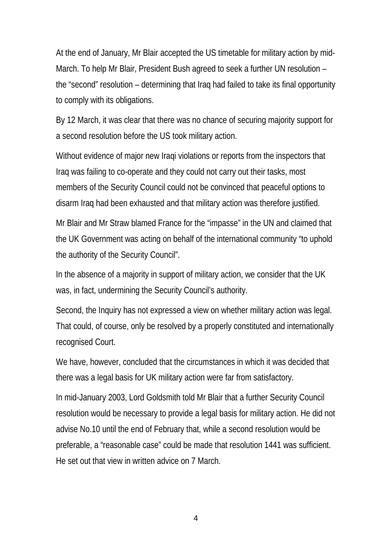At the end of January, Mr Blair accepted the US timetable for military action by mid-March. To help Mr Blair, President Bush agreed to seek a further UN resolution – the "second" resolution – determining that Iraq had failed to take its final opportunity to comply with its obligations.

By 12 March, it was clear that there was no chance of securing majority support for a second resolution before the US took military action.

Without evidence of major new Iraqi violations or reports from the inspectors that Iraq was failing to co-operate and they could not carry out their tasks, most members of the Security Council could not be convinced that peaceful options to disarm Iraq had been exhausted and that military action was therefore justified.

Mr Blair and Mr Straw blamed France for the "impasse" in the UN and claimed that the UK Government was acting on behalf of the international community "to uphold the authority of the Security Council".

In the absence of a majority in support of military action, we consider that the UK was, in fact, undermining the Security Council's authority.

Second, the Inquiry has not expressed a view on whether military action was legal. That could, of course, only be resolved by a properly constituted and internationally recognised Court.

We have, however, concluded that the circumstances in which it was decided that there was a legal basis for UK military action were far from satisfactory.

In mid-January 2003, Lord Goldsmith told Mr Blair that a further Security Council resolution would be necessary to provide a legal basis for military action. He did not advise No.10 until the end of February that, while a second resolution would be preferable, a "reasonable case" could be made that resolution 1441 was sufficient. He set out that view in written advice on 7 March.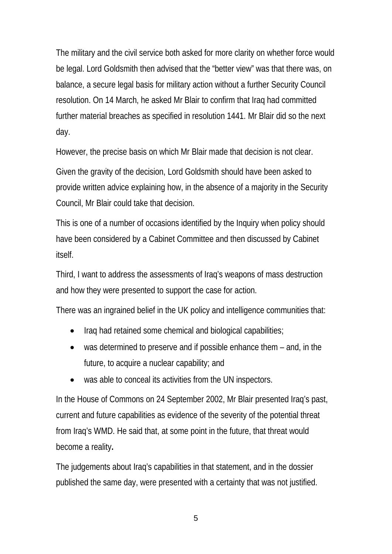The military and the civil service both asked for more clarity on whether force would be legal. Lord Goldsmith then advised that the "better view" was that there was, on balance, a secure legal basis for military action without a further Security Council resolution. On 14 March, he asked Mr Blair to confirm that Iraq had committed further material breaches as specified in resolution 1441. Mr Blair did so the next day.

However, the precise basis on which Mr Blair made that decision is not clear.

Given the gravity of the decision, Lord Goldsmith should have been asked to provide written advice explaining how, in the absence of a majority in the Security Council, Mr Blair could take that decision.

This is one of a number of occasions identified by the Inquiry when policy should have been considered by a Cabinet Committee and then discussed by Cabinet itself.

Third, I want to address the assessments of Iraq's weapons of mass destruction and how they were presented to support the case for action.

There was an ingrained belief in the UK policy and intelligence communities that:

- Iraq had retained some chemical and biological capabilities;
- was determined to preserve and if possible enhance them and, in the future, to acquire a nuclear capability; and
- was able to conceal its activities from the UN inspectors.

In the House of Commons on 24 September 2002, Mr Blair presented Iraq's past, current and future capabilities as evidence of the severity of the potential threat from Iraq's WMD. He said that, at some point in the future, that threat would become a reality**.**

The judgements about Iraq's capabilities in that statement, and in the dossier published the same day, were presented with a certainty that was not justified.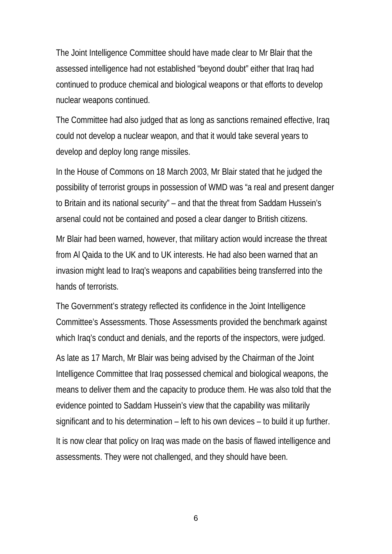The Joint Intelligence Committee should have made clear to Mr Blair that the assessed intelligence had not established "beyond doubt" either that Iraq had continued to produce chemical and biological weapons or that efforts to develop nuclear weapons continued.

The Committee had also judged that as long as sanctions remained effective, Iraq could not develop a nuclear weapon, and that it would take several years to develop and deploy long range missiles.

In the House of Commons on 18 March 2003, Mr Blair stated that he judged the possibility of terrorist groups in possession of WMD was "a real and present danger to Britain and its national security" – and that the threat from Saddam Hussein's arsenal could not be contained and posed a clear danger to British citizens.

Mr Blair had been warned, however, that military action would increase the threat from Al Qaida to the UK and to UK interests. He had also been warned that an invasion might lead to Iraq's weapons and capabilities being transferred into the hands of terrorists.

The Government's strategy reflected its confidence in the Joint Intelligence Committee's Assessments. Those Assessments provided the benchmark against which Iraq's conduct and denials, and the reports of the inspectors, were judged.

As late as 17 March, Mr Blair was being advised by the Chairman of the Joint Intelligence Committee that Iraq possessed chemical and biological weapons, the means to deliver them and the capacity to produce them. He was also told that the evidence pointed to Saddam Hussein's view that the capability was militarily significant and to his determination – left to his own devices – to build it up further.

It is now clear that policy on Iraq was made on the basis of flawed intelligence and assessments. They were not challenged, and they should have been.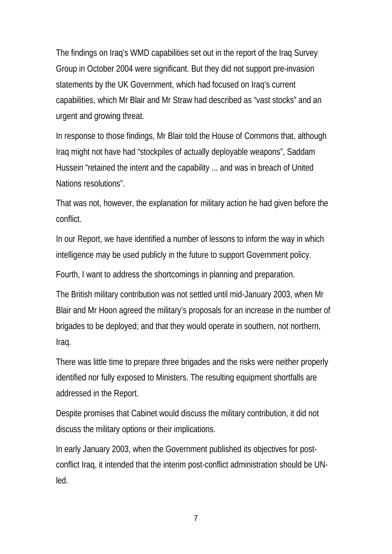The findings on Iraq's WMD capabilities set out in the report of the Iraq Survey Group in October 2004 were significant. But they did not support pre-invasion statements by the UK Government, which had focused on Iraq's current capabilities, which Mr Blair and Mr Straw had described as "vast stocks" and an urgent and growing threat.

In response to those findings, Mr Blair told the House of Commons that, although Iraq might not have had "stockpiles of actually deployable weapons", Saddam Hussein "retained the intent and the capability ... and was in breach of United Nations resolutions".

That was not, however, the explanation for military action he had given before the conflict.

In our Report, we have identified a number of lessons to inform the way in which intelligence may be used publicly in the future to support Government policy.

Fourth, I want to address the shortcomings in planning and preparation.

The British military contribution was not settled until mid-January 2003, when Mr Blair and Mr Hoon agreed the military's proposals for an increase in the number of brigades to be deployed; and that they would operate in southern, not northern, Iraq.

There was little time to prepare three brigades and the risks were neither properly identified nor fully exposed to Ministers. The resulting equipment shortfalls are addressed in the Report.

Despite promises that Cabinet would discuss the military contribution, it did not discuss the military options or their implications.

In early January 2003, when the Government published its objectives for postconflict Iraq, it intended that the interim post-conflict administration should be UNled.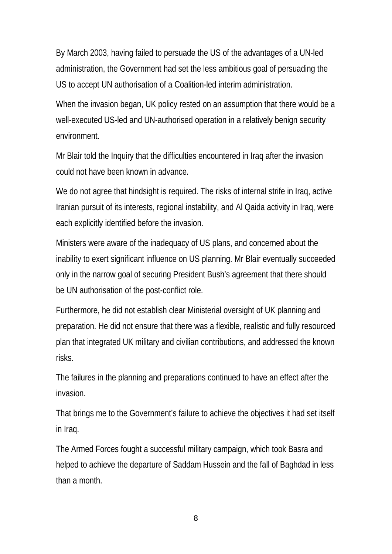By March 2003, having failed to persuade the US of the advantages of a UN-led administration, the Government had set the less ambitious goal of persuading the US to accept UN authorisation of a Coalition-led interim administration.

When the invasion began, UK policy rested on an assumption that there would be a well-executed US-led and UN-authorised operation in a relatively benign security environment.

Mr Blair told the Inquiry that the difficulties encountered in Iraq after the invasion could not have been known in advance.

We do not agree that hindsight is required. The risks of internal strife in Iraq, active Iranian pursuit of its interests, regional instability, and Al Qaida activity in Iraq, were each explicitly identified before the invasion.

Ministers were aware of the inadequacy of US plans, and concerned about the inability to exert significant influence on US planning. Mr Blair eventually succeeded only in the narrow goal of securing President Bush's agreement that there should be UN authorisation of the post-conflict role.

Furthermore, he did not establish clear Ministerial oversight of UK planning and preparation. He did not ensure that there was a flexible, realistic and fully resourced plan that integrated UK military and civilian contributions, and addressed the known risks.

The failures in the planning and preparations continued to have an effect after the invasion.

That brings me to the Government's failure to achieve the objectives it had set itself in Iraq.

The Armed Forces fought a successful military campaign, which took Basra and helped to achieve the departure of Saddam Hussein and the fall of Baghdad in less than a month.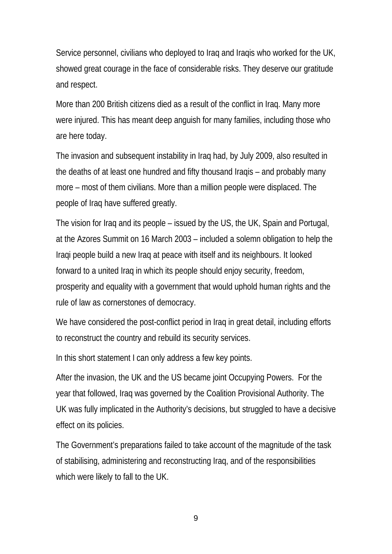Service personnel, civilians who deployed to Iraq and Iraqis who worked for the UK, showed great courage in the face of considerable risks. They deserve our gratitude and respect.

More than 200 British citizens died as a result of the conflict in Iraq. Many more were injured. This has meant deep anguish for many families, including those who are here today.

The invasion and subsequent instability in Iraq had, by July 2009, also resulted in the deaths of at least one hundred and fifty thousand Iraqis – and probably many more – most of them civilians. More than a million people were displaced. The people of Iraq have suffered greatly.

The vision for Iraq and its people – issued by the US, the UK, Spain and Portugal, at the Azores Summit on 16 March 2003 – included a solemn obligation to help the Iraqi people build a new Iraq at peace with itself and its neighbours. It looked forward to a united Iraq in which its people should enjoy security, freedom, prosperity and equality with a government that would uphold human rights and the rule of law as cornerstones of democracy.

We have considered the post-conflict period in Iraq in great detail, including efforts to reconstruct the country and rebuild its security services.

In this short statement I can only address a few key points.

After the invasion, the UK and the US became joint Occupying Powers. For the year that followed, Iraq was governed by the Coalition Provisional Authority. The UK was fully implicated in the Authority's decisions, but struggled to have a decisive effect on its policies.

The Government's preparations failed to take account of the magnitude of the task of stabilising, administering and reconstructing Iraq, and of the responsibilities which were likely to fall to the UK.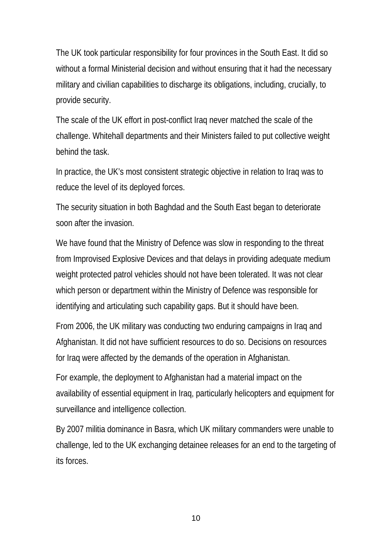The UK took particular responsibility for four provinces in the South East. It did so without a formal Ministerial decision and without ensuring that it had the necessary military and civilian capabilities to discharge its obligations, including, crucially, to provide security.

The scale of the UK effort in post-conflict Iraq never matched the scale of the challenge. Whitehall departments and their Ministers failed to put collective weight behind the task.

In practice, the UK's most consistent strategic objective in relation to Iraq was to reduce the level of its deployed forces.

The security situation in both Baghdad and the South East began to deteriorate soon after the invasion.

We have found that the Ministry of Defence was slow in responding to the threat from Improvised Explosive Devices and that delays in providing adequate medium weight protected patrol vehicles should not have been tolerated. It was not clear which person or department within the Ministry of Defence was responsible for identifying and articulating such capability gaps. But it should have been.

From 2006, the UK military was conducting two enduring campaigns in Iraq and Afghanistan. It did not have sufficient resources to do so. Decisions on resources for Iraq were affected by the demands of the operation in Afghanistan.

For example, the deployment to Afghanistan had a material impact on the availability of essential equipment in Iraq, particularly helicopters and equipment for surveillance and intelligence collection.

By 2007 militia dominance in Basra, which UK military commanders were unable to challenge, led to the UK exchanging detainee releases for an end to the targeting of its forces.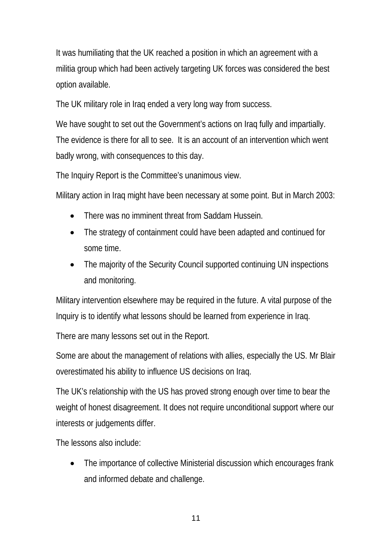It was humiliating that the UK reached a position in which an agreement with a militia group which had been actively targeting UK forces was considered the best option available.

The UK military role in Iraq ended a very long way from success.

We have sought to set out the Government's actions on Iraq fully and impartially. The evidence is there for all to see. It is an account of an intervention which went badly wrong, with consequences to this day.

The Inquiry Report is the Committee's unanimous view.

Military action in Iraq might have been necessary at some point. But in March 2003:

- There was no imminent threat from Saddam Hussein.
- The strategy of containment could have been adapted and continued for some time.
- The majority of the Security Council supported continuing UN inspections and monitoring.

Military intervention elsewhere may be required in the future. A vital purpose of the Inquiry is to identify what lessons should be learned from experience in Iraq.

There are many lessons set out in the Report.

Some are about the management of relations with allies, especially the US. Mr Blair overestimated his ability to influence US decisions on Iraq.

The UK's relationship with the US has proved strong enough over time to bear the weight of honest disagreement. It does not require unconditional support where our interests or judgements differ.

The lessons also include:

• The importance of collective Ministerial discussion which encourages frank and informed debate and challenge.